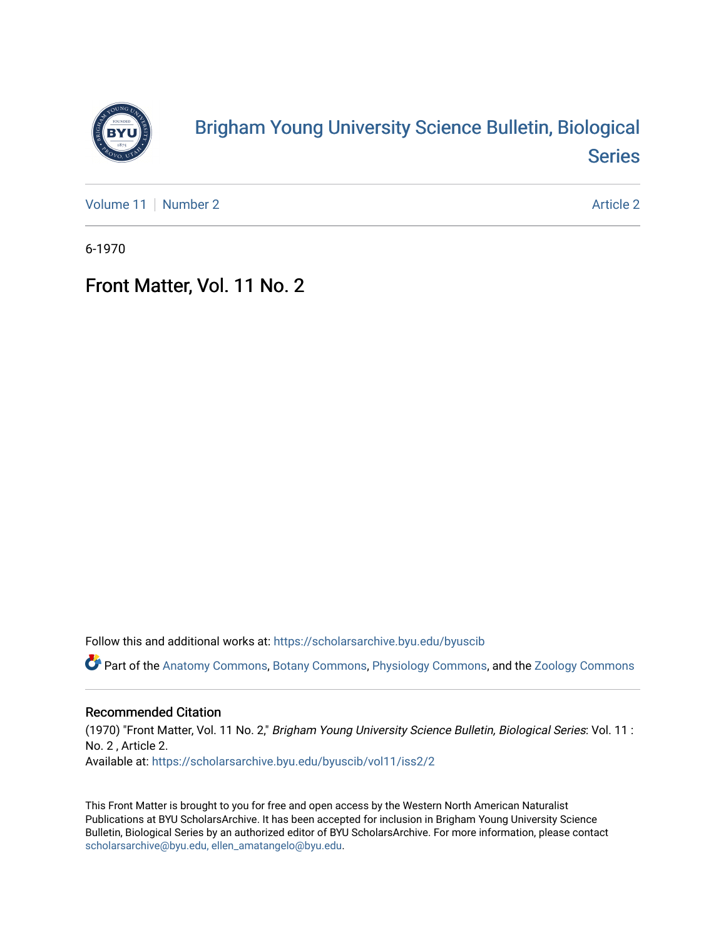

## [Brigham Young University Science Bulletin, Biological](https://scholarsarchive.byu.edu/byuscib)  [Series](https://scholarsarchive.byu.edu/byuscib)

[Volume 11](https://scholarsarchive.byu.edu/byuscib/vol11) [Number 2](https://scholarsarchive.byu.edu/byuscib/vol11/iss2) Article 2

6-1970

## Front Matter, Vol. 11 No. 2

Follow this and additional works at: [https://scholarsarchive.byu.edu/byuscib](https://scholarsarchive.byu.edu/byuscib?utm_source=scholarsarchive.byu.edu%2Fbyuscib%2Fvol11%2Fiss2%2F2&utm_medium=PDF&utm_campaign=PDFCoverPages)

Part of the [Anatomy Commons,](http://network.bepress.com/hgg/discipline/903?utm_source=scholarsarchive.byu.edu%2Fbyuscib%2Fvol11%2Fiss2%2F2&utm_medium=PDF&utm_campaign=PDFCoverPages) [Botany Commons,](http://network.bepress.com/hgg/discipline/104?utm_source=scholarsarchive.byu.edu%2Fbyuscib%2Fvol11%2Fiss2%2F2&utm_medium=PDF&utm_campaign=PDFCoverPages) [Physiology Commons,](http://network.bepress.com/hgg/discipline/69?utm_source=scholarsarchive.byu.edu%2Fbyuscib%2Fvol11%2Fiss2%2F2&utm_medium=PDF&utm_campaign=PDFCoverPages) and the [Zoology Commons](http://network.bepress.com/hgg/discipline/81?utm_source=scholarsarchive.byu.edu%2Fbyuscib%2Fvol11%2Fiss2%2F2&utm_medium=PDF&utm_campaign=PDFCoverPages)

#### Recommended Citation

(1970) "Front Matter, Vol. 11 No. 2," Brigham Young University Science Bulletin, Biological Series: Vol. 11 : No. 2 , Article 2. Available at: [https://scholarsarchive.byu.edu/byuscib/vol11/iss2/2](https://scholarsarchive.byu.edu/byuscib/vol11/iss2/2?utm_source=scholarsarchive.byu.edu%2Fbyuscib%2Fvol11%2Fiss2%2F2&utm_medium=PDF&utm_campaign=PDFCoverPages) 

This Front Matter is brought to you for free and open access by the Western North American Naturalist Publications at BYU ScholarsArchive. It has been accepted for inclusion in Brigham Young University Science Bulletin, Biological Series by an authorized editor of BYU ScholarsArchive. For more information, please contact [scholarsarchive@byu.edu, ellen\\_amatangelo@byu.edu](mailto:scholarsarchive@byu.edu,%20ellen_amatangelo@byu.edu).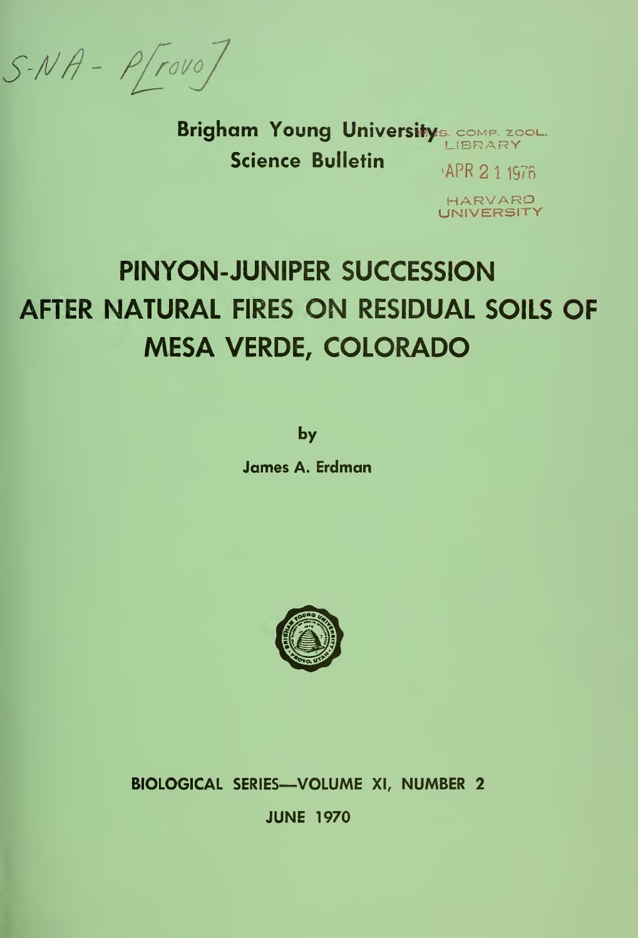$S-NA-P(rowo)$ 

Brigham Young Universitys. COMP. ZOOL. LIBRARY **Science Bulletin** APR 2 1 1976

> HARVARD UNIVERSITY

# PINYON-JUNIPER SUCCESSION AFTER NATURAL FIRES ON RESIDUAL SOILS OF **MESA VERDE, COLORADO**

by

**James A. Erdman** 



BIOLOGICAL SERIES-VOLUME XI, NUMBER 2 **JUNE 1970**